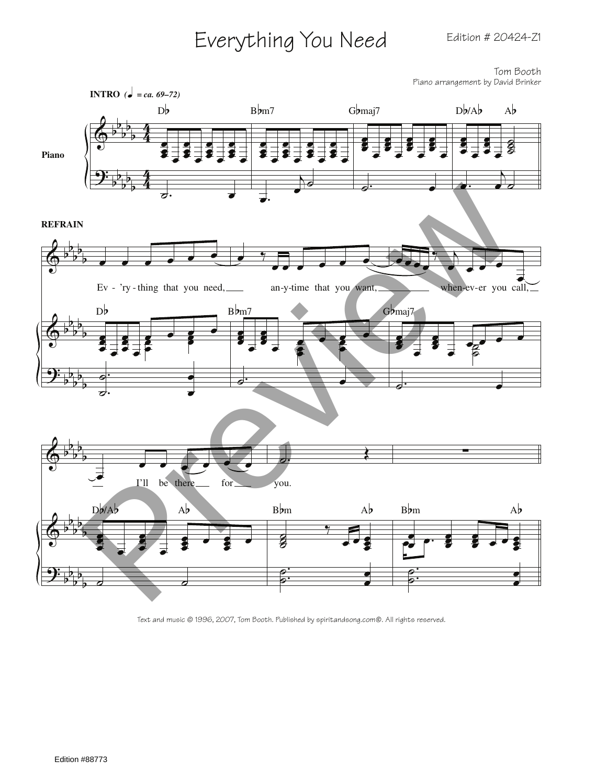## Everything You Need Edition # 20424-Z1

Tom Booth Piano arrangement by David Brinker



Text and music © 1996, 2007, Tom Booth. Published by spiritandsong.com®. All rights reserved.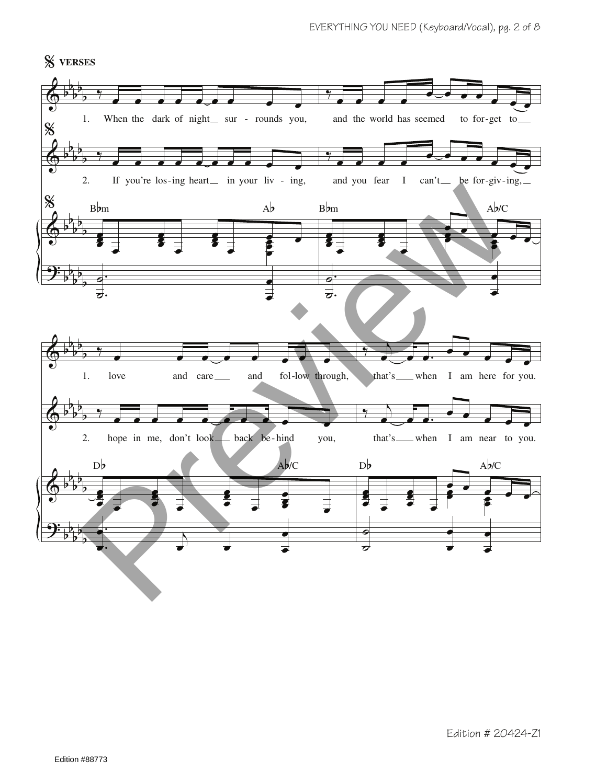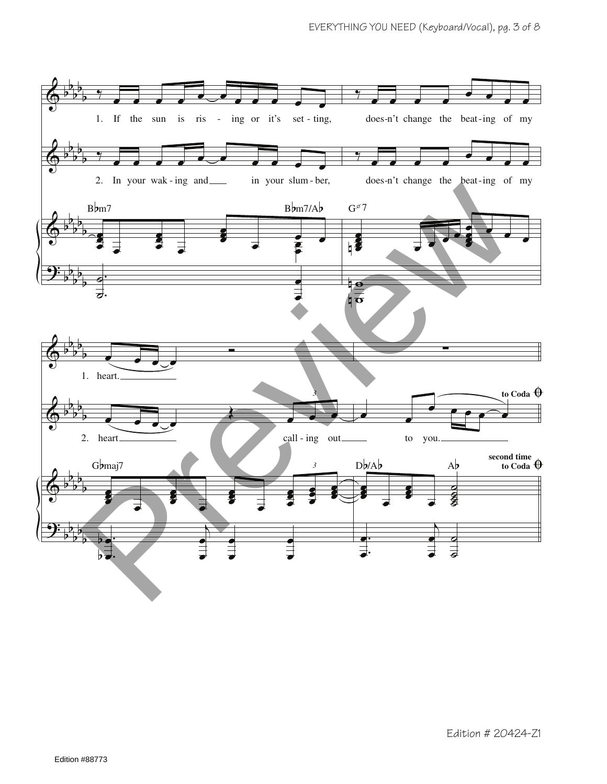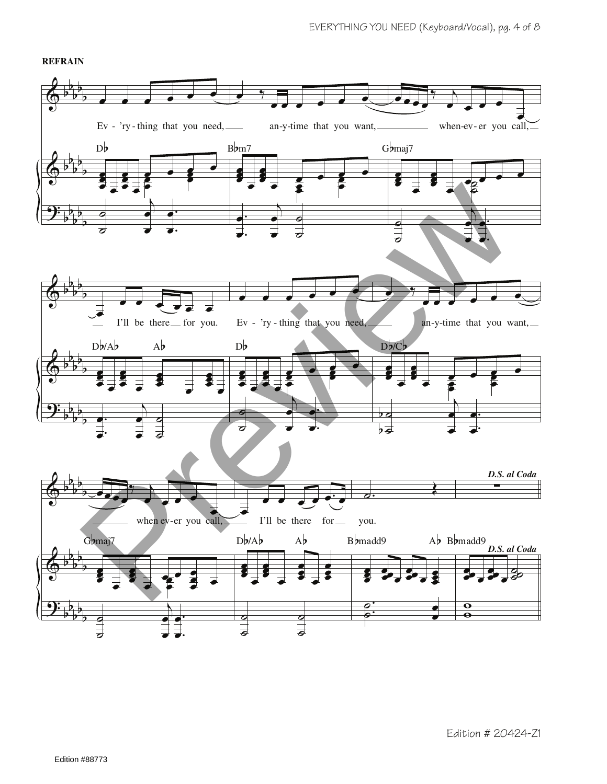

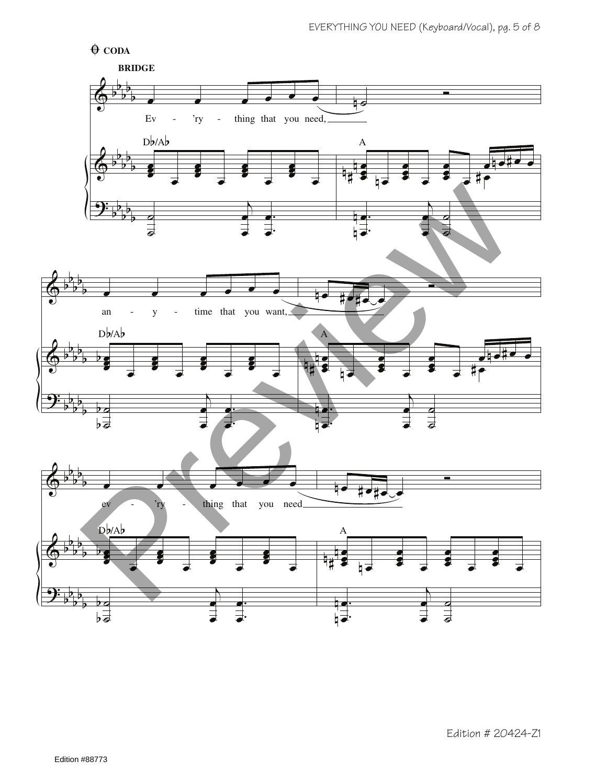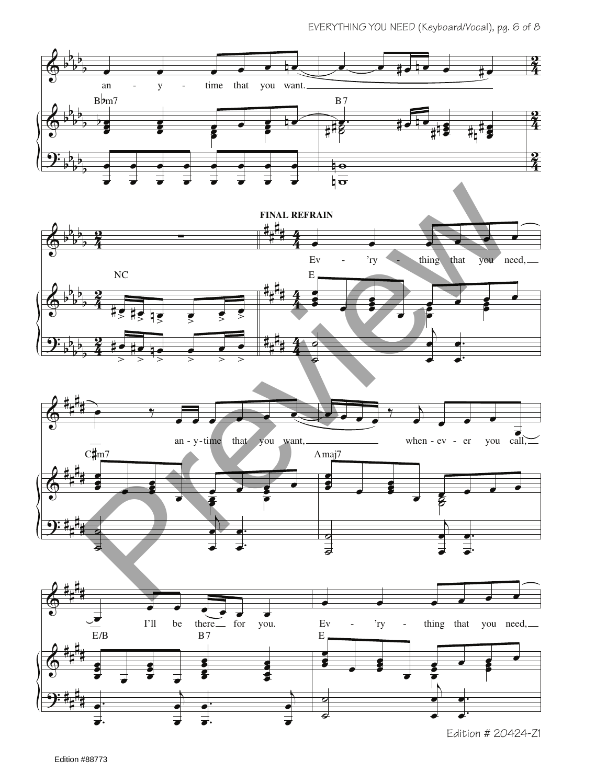





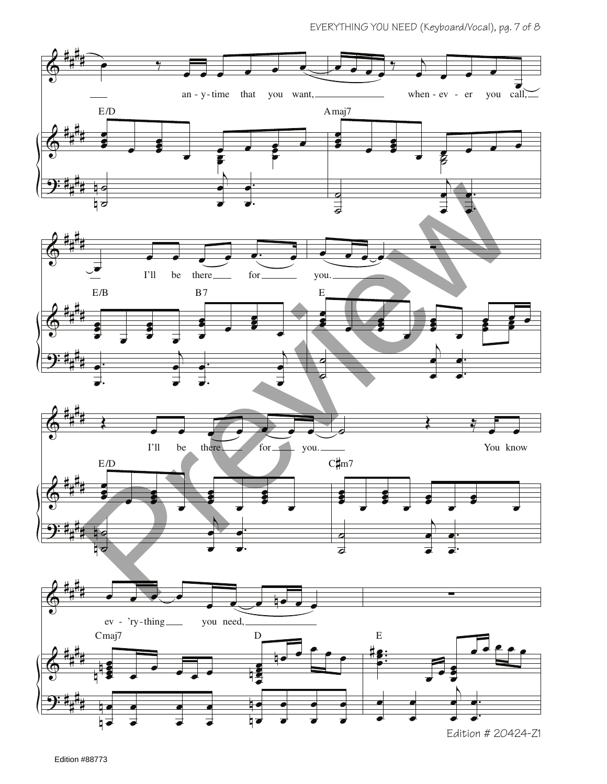